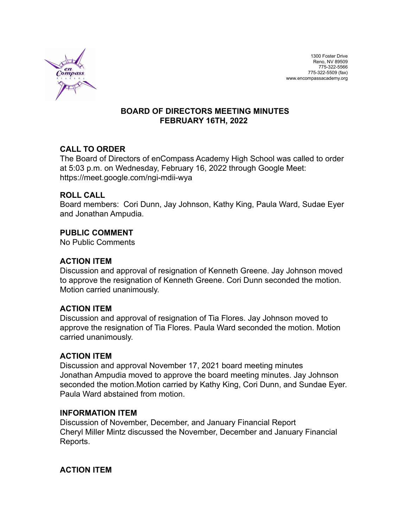

### **BOARD OF DIRECTORS MEETING MINUTES FEBRUARY 16TH, 2022**

## **CALL TO ORDER**

The Board of Directors of enCompass Academy High School was called to order at 5:03 p.m. on Wednesday, February 16, 2022 through Google Meet: https://meet.google.com/ngi-mdii-wya

### **ROLL CALL**

Board members: Cori Dunn, Jay Johnson, Kathy King, Paula Ward, Sudae Eyer and Jonathan Ampudia.

### **PUBLIC COMMENT**

No Public Comments

### **ACTION ITEM**

Discussion and approval of resignation of Kenneth Greene. Jay Johnson moved to approve the resignation of Kenneth Greene. Cori Dunn seconded the motion. Motion carried unanimously.

#### **ACTION ITEM**

Discussion and approval of resignation of Tia Flores. Jay Johnson moved to approve the resignation of Tia Flores. Paula Ward seconded the motion. Motion carried unanimously.

#### **ACTION ITEM**

Discussion and approval November 17, 2021 board meeting minutes Jonathan Ampudia moved to approve the board meeting minutes. Jay Johnson seconded the motion.Motion carried by Kathy King, Cori Dunn, and Sundae Eyer. Paula Ward abstained from motion.

#### **INFORMATION ITEM**

Discussion of November, December, and January Financial Report Cheryl Miller Mintz discussed the November, December and January Financial Reports.

## **ACTION ITEM**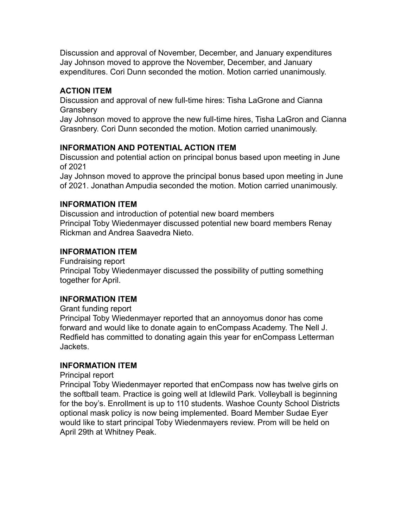Discussion and approval of November, December, and January expenditures Jay Johnson moved to approve the November, December, and January expenditures. Cori Dunn seconded the motion. Motion carried unanimously.

## **ACTION ITEM**

Discussion and approval of new full-time hires: Tisha LaGrone and Cianna **Gransbery** 

Jay Johnson moved to approve the new full-time hires, Tisha LaGron and Cianna Grasnbery. Cori Dunn seconded the motion. Motion carried unanimously.

# **INFORMATION AND POTENTIAL ACTION ITEM**

Discussion and potential action on principal bonus based upon meeting in June of 2021

Jay Johnson moved to approve the principal bonus based upon meeting in June of 2021. Jonathan Ampudia seconded the motion. Motion carried unanimously.

# **INFORMATION ITEM**

Discussion and introduction of potential new board members Principal Toby Wiedenmayer discussed potential new board members Renay Rickman and Andrea Saavedra Nieto.

# **INFORMATION ITEM**

Fundraising report Principal Toby Wiedenmayer discussed the possibility of putting something together for April.

# **INFORMATION ITEM**

Grant funding report

Principal Toby Wiedenmayer reported that an annoyomus donor has come forward and would like to donate again to enCompass Academy. The Nell J. Redfield has committed to donating again this year for enCompass Letterman Jackets.

## **INFORMATION ITEM**

Principal report

Principal Toby Wiedenmayer reported that enCompass now has twelve girls on the softball team. Practice is going well at Idlewild Park. Volleyball is beginning for the boy's. Enrollment is up to 110 students. Washoe County School Districts optional mask policy is now being implemented. Board Member Sudae Eyer would like to start principal Toby Wiedenmayers review. Prom will be held on April 29th at Whitney Peak.